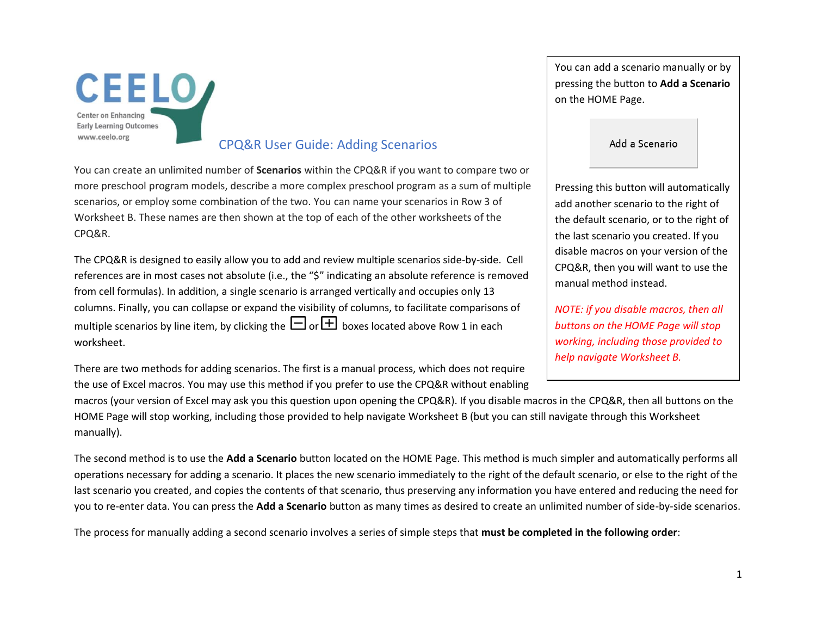

## CPQ&R User Guide: Adding Scenarios

You can create an unlimited number of **Scenarios** within the CPQ&R if you want to compare two or more preschool program models, describe a more complex preschool program as a sum of multiple scenarios, or employ some combination of the two. You can name your scenarios in Row 3 of Worksheet B. These names are then shown at the top of each of the other worksheets of the CPQ&R.

The CPQ&R is designed to easily allow you to add and review multiple scenarios side-by-side. Cell references are in most cases not absolute (i.e., the "\$" indicating an absolute reference is removed from cell formulas). In addition, a single scenario is arranged vertically and occupies only 13 columns. Finally, you can collapse or expand the visibility of columns, to facilitate comparisons of multiple scenarios by line item, by clicking the  $\Box$  or  $\Box$  boxes located above Row 1 in each worksheet.

There are two methods for adding scenarios. The first is a manual process, which does not require the use of Excel macros. You may use this method if you prefer to use the CPQ&R without enabling You can add a scenario manually or by pressing the button to **Add a Scenario** on the HOME Page.

## Add a Scenario

Pressing this button will automatically add another scenario to the right of the default scenario, or to the right of the last scenario you created. If you disable macros on your version of the CPQ&R, then you will want to use the manual method instead.

*NOTE: if you disable macros, then all buttons on the HOME Page will stop working, including those provided to help navigate Worksheet B.*

macros (your version of Excel may ask you this question upon opening the CPQ&R). If you disable macros in the CPQ&R, then all buttons on the HOME Page will stop working, including those provided to help navigate Worksheet B (but you can still navigate through this Worksheet manually).

The second method is to use the **Add a Scenario** button located on the HOME Page. This method is much simpler and automatically performs all operations necessary for adding a scenario. It places the new scenario immediately to the right of the default scenario, or else to the right of the last scenario you created, and copies the contents of that scenario, thus preserving any information you have entered and reducing the need for you to re-enter data. You can press the **Add a Scenario** button as many times as desired to create an unlimited number of side-by-side scenarios.

The process for manually adding a second scenario involves a series of simple steps that **must be completed in the following order**: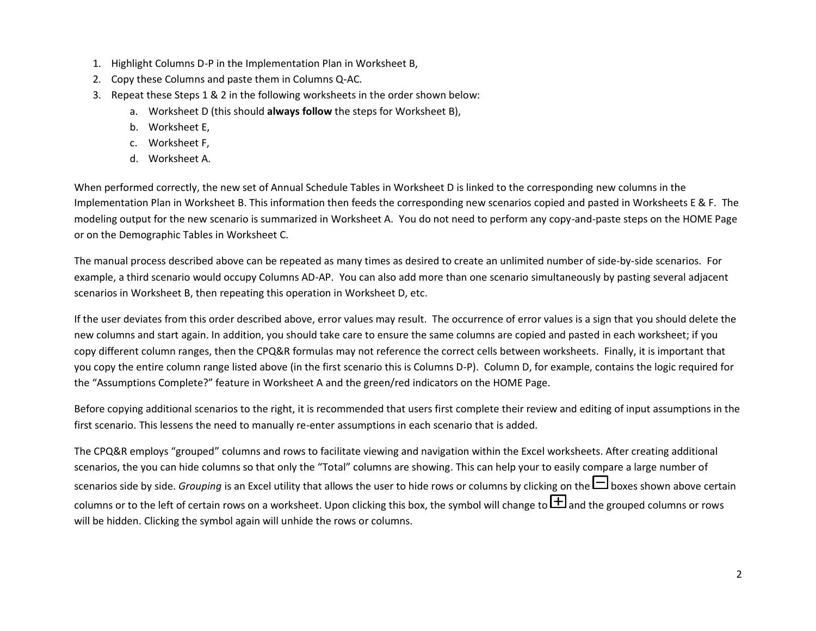- 1. Highlight Columns D-P in the Implementation Plan in Worksheet B,
- 2. Copy these Columns and paste them in Columns Q-AC.
- 3. Repeat these Steps 1 & 2 in the following worksheets in the order shown below:
	- a. Worksheet D (this should **always follow** the steps for Worksheet B),
	- b. Worksheet E,
	- c. Worksheet F,
	- d. Worksheet A.

When performed correctly, the new set of Annual Schedule Tables in Worksheet D is linked to the corresponding new columns in the Implementation Plan in Worksheet B. This information then feeds the corresponding new scenarios copied and pasted in Worksheets E & F. The modeling output for the new scenario is summarized in Worksheet A. You do not need to perform any copy-and-paste steps on the HOME Page or on the Demographic Tables in Worksheet C.

The manual process described above can be repeated as many times as desired to create an unlimited number of side-by-side scenarios. For example, a third scenario would occupy Columns AD-AP. You can also add more than one scenario simultaneously by pasting several adjacent scenarios in Worksheet B, then repeating this operation in Worksheet D, etc.

If the user deviates from this order described above, error values may result. The occurrence of error values is a sign that you should delete the new columns and start again. In addition, you should take care to ensure the same columns are copied and pasted in each worksheet; if you copy different column ranges, then the CPQ&R formulas may not reference the correct cells between worksheets. Finally, it is important that you copy the entire column range listed above (in the first scenario this is Columns D-P). Column D, for example, contains the logic required for the "Assumptions Complete?" feature in Worksheet A and the green/red indicators on the HOME Page.

Before copying additional scenarios to the right, it is recommended that users first complete their review and editing of input assumptions in the first scenario. This lessens the need to manually re-enter assumptions in each scenario that is added.

The CPQ&R employs "grouped" columns and rows to facilitate viewing and navigation within the Excel worksheets. After creating additional scenarios, the you can hide columns so that only the "Total" columns are showing. This can help your to easily compare a large number of scenarios side by side. *Grouping* is an Excel utility that allows the user to hide rows or columns by clicking on the  $\Box$  boxes shown above certain columns or to the left of certain rows on a worksheet. Upon clicking this box, the symbol will change to  $\boxplus$  and the grouped columns or rows will be hidden. Clicking the symbol again will unhide the rows or columns.